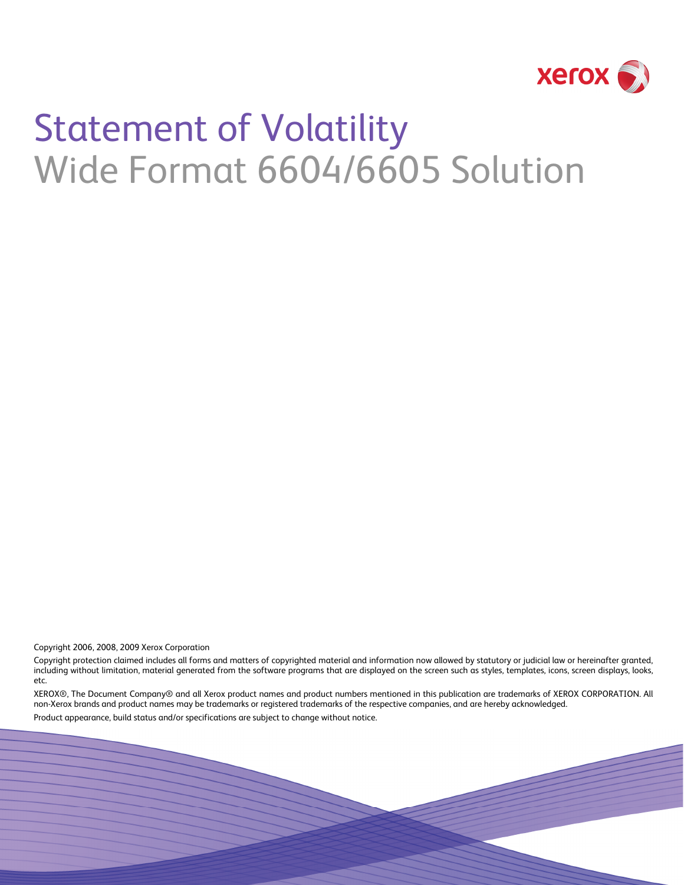

# Statement of Volatility Wide Format 6604/6605 Solution

Copyright 2006, 2008, 2009 Xerox Corporation

Copyright protection claimed includes all forms and matters of copyrighted material and information now allowed by statutory or judicial law or hereinafter granted, including without limitation, material generated from the software programs that are displayed on the screen such as styles, templates, icons, screen displays, looks, etc.

XEROX®, The Document Company® and all Xerox product names and product numbers mentioned in this publication are trademarks of XEROX CORPORATION. All non-Xerox brands and product names may be trademarks or registered trademarks of the respective companies, and are hereby acknowledged.

Product appearance, build status and/or specifications are subject to change without notice.

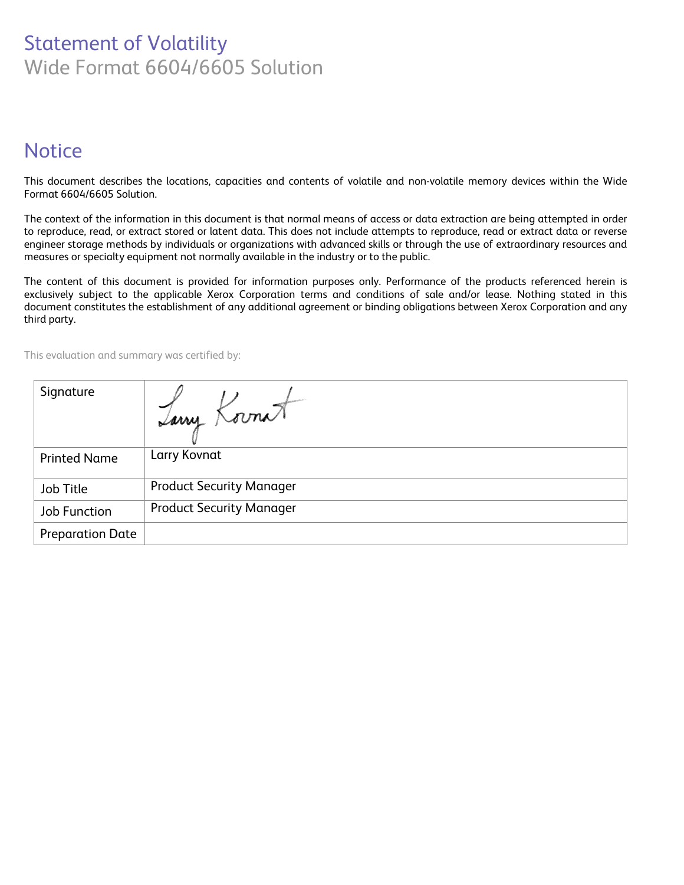# Statement of Volatility Wide Format 6604/6605 Solution

## **Notice**

This document describes the locations, capacities and contents of volatile and non-volatile memory devices within the Wide Format 6604/6605 Solution.

The context of the information in this document is that normal means of access or data extraction are being attempted in order to reproduce, read, or extract stored or latent data. This does not include attempts to reproduce, read or extract data or reverse engineer storage methods by individuals or organizations with advanced skills or through the use of extraordinary resources and measures or specialty equipment not normally available in the industry or to the public.

The content of this document is provided for information purposes only. Performance of the products referenced herein is exclusively subject to the applicable Xerox Corporation terms and conditions of sale and/or lease. Nothing stated in this document constitutes the establishment of any additional agreement or binding obligations between Xerox Corporation and any third party.

This evaluation and summary was certified by:

| Signature               | Iarry Kornat                    |
|-------------------------|---------------------------------|
| <b>Printed Name</b>     | Larry Kovnat                    |
| Job Title               | <b>Product Security Manager</b> |
| <b>Job Function</b>     | <b>Product Security Manager</b> |
| <b>Preparation Date</b> |                                 |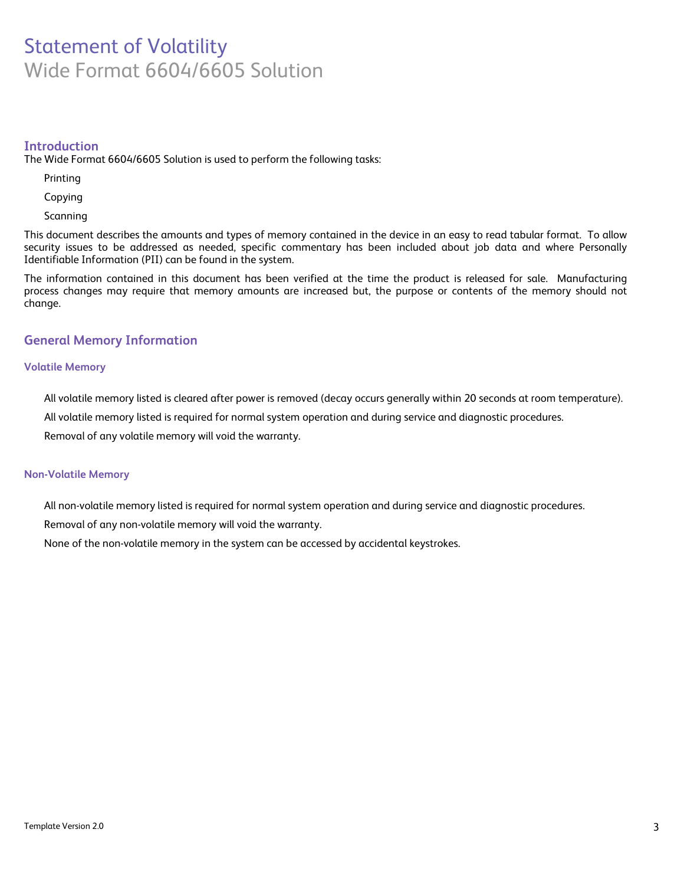## Statement of Volatility Wide Format 6604/6605 Solution

#### **Introduction**

The Wide Format 6604/6605 Solution is used to perform the following tasks:

Printing

Copying

Scanning

This document describes the amounts and types of memory contained in the device in an easy to read tabular format. To allow security issues to be addressed as needed, specific commentary has been included about job data and where Personally Identifiable Information (PII) can be found in the system.

The information contained in this document has been verified at the time the product is released for sale. Manufacturing process changes may require that memory amounts are increased but, the purpose or contents of the memory should not change.

#### **General Memory Information**

#### **Volatile Memory**

All volatile memory listed is cleared after power is removed (decay occurs generally within 20 seconds at room temperature).

All volatile memory listed is required for normal system operation and during service and diagnostic procedures.

Removal of any volatile memory will void the warranty.

#### **Non-Volatile Memory**

All non-volatile memory listed is required for normal system operation and during service and diagnostic procedures.

Removal of any non-volatile memory will void the warranty.

None of the non-volatile memory in the system can be accessed by accidental keystrokes.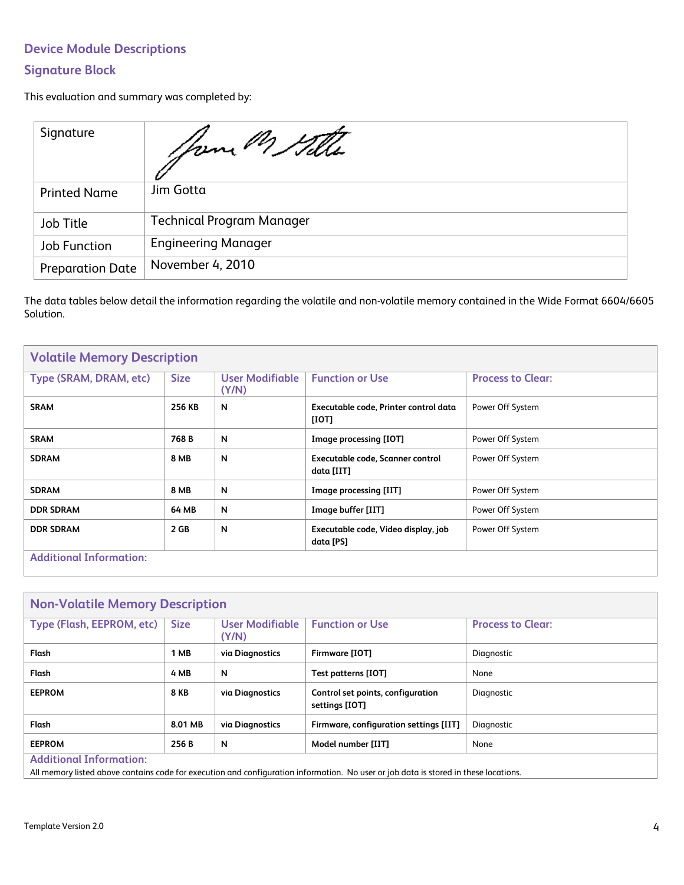## **Device Module Descriptions**

### **Signature Block**

This evaluation and summary was completed by:

| Signature               | Your M Stille                    |
|-------------------------|----------------------------------|
| <b>Printed Name</b>     | Jim Gotta                        |
| Job Title               | <b>Technical Program Manager</b> |
| <b>Job Function</b>     | <b>Engineering Manager</b>       |
| <b>Preparation Date</b> | November 4, 2010                 |

The data tables below detail the information regarding the volatile and non-volatile memory contained in the Wide Format 6604/6605 Solution.

| <b>Volatile Memory Description</b> |             |                          |                                                  |                          |
|------------------------------------|-------------|--------------------------|--------------------------------------------------|--------------------------|
| Type (SRAM, DRAM, etc)             | <b>Size</b> | User Modifiable<br>(Y/N) | <b>Function or Use</b>                           | <b>Process to Clear:</b> |
| <b>SRAM</b>                        | 256 KB      | N                        | Executable code, Printer control data<br>[IOT]   | Power Off System         |
| <b>SRAM</b>                        | 768 B       | N                        | Image processing [IOT]                           | Power Off System         |
| <b>SDRAM</b>                       | <b>8 MB</b> | N                        | Executable code, Scanner control<br>data [IIT]   | Power Off System         |
| <b>SDRAM</b>                       | <b>8 MB</b> | N                        | Image processing [IIT]                           | Power Off System         |
| <b>DDR SDRAM</b>                   | 64 MB       | N                        | Image buffer [IIT]                               | Power Off System         |
| <b>DDR SDRAM</b>                   | 2 GB        | N                        | Executable code, Video display, job<br>data [PS] | Power Off System         |
| <b>Additional Information:</b>     |             |                          |                                                  |                          |

| <b>Non-Volatile Memory Description</b> |             |                          |                                                     |                          |
|----------------------------------------|-------------|--------------------------|-----------------------------------------------------|--------------------------|
| Type (Flash, EEPROM, etc)              | <b>Size</b> | User Modifiable<br>(Y/N) | <b>Function or Use</b>                              | <b>Process to Clear:</b> |
| Flash                                  | 1 MB        | via Diagnostics          | Firmware [IOT]                                      | Diagnostic               |
| Flash                                  | 4 MB        | N                        | Test patterns [IOT]                                 | None                     |
| <b>EEPROM</b>                          | <b>8 KB</b> | via Diagnostics          | Control set points, configuration<br>settings [IOT] | Diagnostic               |
| Flash                                  | 8.01 MB     | via Diagnostics          | Firmware, configuration settings [IIT]              | Diagnostic               |
| <b>EEPROM</b>                          | 256 B       | N                        | Model number [IIT]                                  | None                     |
| <b>Additional Information:</b>         |             |                          |                                                     |                          |

All memory listed above contains code for execution and configuration information. No user or job data is stored in these locations.